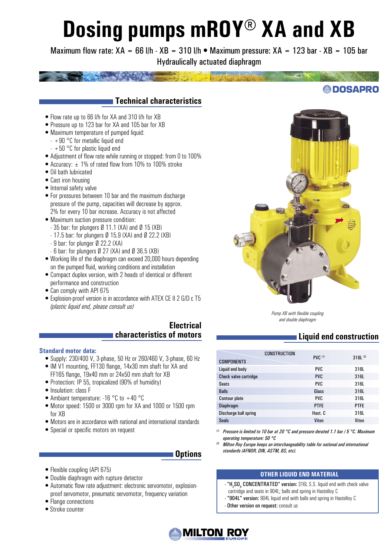# **Dosing pumps mROY® XA and XB**

Maximum flow rate:  $XA = 66$  l/h  $\cdot$  XB = 310 l/h  $\bullet$  Maximum pressure:  $XA = 123$  bar  $\cdot$  XB = 105 bar Hydraulically actuated diaphragm

# **Technical characteristics**

- Flow rate up to 66 l/h for XA and 310 l/h for XB
- Pressure up to 123 bar for XA and 105 bar for XB
- Maximum temperature of pumped liquid:
	- $+90$  °C for metallic liquid end
	- $+50$  °C for plastic liquid end
- Adjustment of flow rate while running or stopped: from 0 to 100%
- Accuracy:  $\pm$  1% of rated flow from 10% to 100% stroke
- Oil bath lubricated
- Cast iron housing
- Internal safety valve
- For pressures between 10 bar and the maximum discharge pressure of the pump, capacities will decrease by approx. 2% for every 10 bar increase. Accuracy is not affected
- Maximum suction pressure condition:
	- 35 bar: for plungers Ø 11.1 (XA) and Ø 15 (XB)
	- 17.5 bar: for plungers Ø 15.9 (XA) and Ø 22.2 (XB)
	- 9 bar: for plunger Ø 22.2 (XA)
	- $-6$  bar: for plungers  $\emptyset$  27 (XA) and  $\emptyset$  36.5 (XB)
- Working life of the diaphragm can exceed 20,000 hours depending on the pumped fluid, working conditions and installation
- Compact duplex version, with 2 heads of identical or different performance and construction
- Can comply with API 675
- Explosion-proof version is in accordance with ATEX CE II 2 G/D c T5 *(plastic liquid end, please consult us)*

### **Electrical characteristics of motors**

#### **Standard motor data:**

- Supply: 230/400 V, 3-phase, 50 Hz or 260/460 V, 3-phase, 60 Hz
- IM V1 mounting, FF130 flange, 14x30 mm shaft for XA and FF165 flange, 19x40 mm or 24x50 mm shaft for XB
- Protection: IP 55, tropicalized (90% of humidity)
- Insulation: class F
- Ambiant temperature: -16 °C to +40 °C
- Motor speed: 1500 or 3000 rpm for XA and 1000 or 1500 rpm for XB
- Motors are in accordance with national and international standards
- Special or specific motors on request

#### **Options**

- Flexible coupling (API 675)
- Double diaphragm with rupture detector
- Automatic flow rate adjustment: electronic servomotor, explosionproof servomotor, pneumatic servomotor, frequency variation
- Flange connections
- •Stroke counter



*Pump XB with flexible coupling and double diaphragm*

# **Liquid end construction**

| CONSTRUCTION<br><b>COMPONENTS</b> | <b>PVC</b> (1) | 316L <sup>(2)</sup> |
|-----------------------------------|----------------|---------------------|
| Liquid end body                   | <b>PVC</b>     | 316L                |
| Check valve cartridge             | <b>PVC</b>     | 316L                |
| <b>Seats</b>                      | <b>PVC</b>     | 316L                |
| <b>Balls</b>                      | Glass          | 316L                |
| <b>Contour plate</b>              | <b>PVC</b>     | 316L                |
| <b>Diaphragm</b>                  | <b>PTFE</b>    | <b>PTFE</b>         |
| Discharge ball spring             | Hast. C        | 316L                |
| <b>Seals</b>                      | Viton          | Viton               |

- *(1) Pressure is limited to 10 bar at 20 °C and pressure derated 1.1 bar / 5 °C. Maximum operating temperature: 50 °C*
- *(2) Milton Roy Europe keeps an interchangeability table for national and international standards (AFNOR, DIN, ASTM, BS, etc).*

#### **OTHER LIQUID END MATERIAL**

- "H<sub>2</sub>SO<sub>4</sub> CONCENTRATED" version: 316L S.S. liquid end with check valve cartridge and seats in 904L; balls and spring in Hastelloy C
- "904L" version: 904L liquid end with balls and spring in Hastelloy C
- Other version on request: consult us



**@DOSAPRO**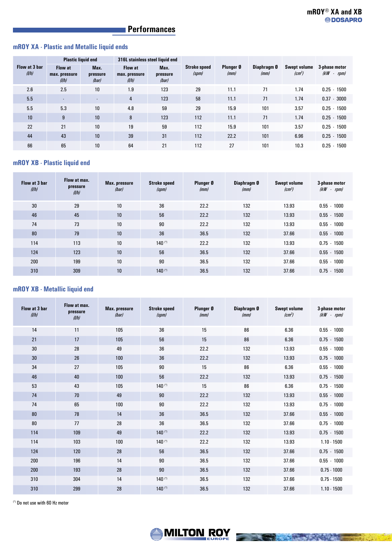# **Performances**

#### **mROY XA - Plastic and Metallic liquid ends**

|                        |                                          | <b>Plastic liquid end</b> |                                          | 316L stainless steel liquid end |                              |                   |                     |                                      |                                   |
|------------------------|------------------------------------------|---------------------------|------------------------------------------|---------------------------------|------------------------------|-------------------|---------------------|--------------------------------------|-----------------------------------|
| Flow at 3 bar<br>(1/h) | <b>Flow at</b><br>max. pressure<br>(1/h) | Max.<br>pressure<br>(bar) | <b>Flow at</b><br>max. pressure<br>(1/h) | Max.<br>pressure<br>(bar)       | <b>Stroke speed</b><br>(spm) | Plunger Ø<br>(mm) | Diaphragm 0<br>(mm) | <b>Swept volume</b><br>$\sqrt{cm^3}$ | 3-phase motor<br>(kW)<br>- $rpm/$ |
| 2.6                    | 2.5                                      | 10                        | 1.9                                      | 123                             | 29                           | 11.1              | 71                  | 1.74                                 | $0.25 - 1500$                     |
| 5.5                    | $\sim$                                   | $\sim$                    | 4                                        | 123                             | 58                           | 11.1              | 71                  | 1.74                                 | $0.37 - 3000$                     |
| 5.5                    | 5.3                                      | 10 <sup>°</sup>           | 4.8                                      | 59                              | 29                           | 15.9              | 101                 | 3.57                                 | $0.25 - 1500$                     |
| 10                     | 9                                        | 10                        | 8                                        | 123                             | 112                          | 11.1              | 71                  | 1.74                                 | $0.25 - 1500$                     |
| 22                     | 21                                       | 10                        | 19                                       | 59                              | 112                          | 15.9              | 101                 | 3.57                                 | $0.25 - 1500$                     |
| 44                     | 43                                       | 10 <sup>°</sup>           | 39                                       | 31                              | 112                          | 22.2              | 101                 | 6.96                                 | $0.25 - 1500$                     |
| 66                     | 65                                       | 10                        | 64                                       | 21                              | 112                          | 27                | 101                 | 10.3                                 | $0.25 - 1500$                     |

#### **mROY XB - Plastic liquid end**

| Flow at 3 bar<br>(1/h) | Flow at max.<br>pressure<br>(1/h) | Max. pressure<br>(har) | <b>Stroke speed</b><br>(spm) | Plunger 0<br>(mm) | Diaphragm 0<br>(mm) | <b>Swept volume</b><br>$\left(\text{cm}^3\right)$ | 3-phase motor<br>$(kW - rpm)$ |
|------------------------|-----------------------------------|------------------------|------------------------------|-------------------|---------------------|---------------------------------------------------|-------------------------------|
| 30                     | 29                                | 10                     | 36                           | 22.2              | 132                 | 13.93                                             | $0.55 - 1000$                 |
| 46                     | 45                                | 10                     | 56                           | 22.2              | 132                 | 13.93                                             | $0.55 - 1500$                 |
| 74                     | 73                                | 10                     | 90                           | 22.2              | 132                 | 13.93                                             | $0.55 - 1000$                 |
| 80                     | 79                                | 10                     | 36                           | 36.5              | 132                 | 37.66                                             | $0.55 - 1000$                 |
| 114                    | 113                               | 10                     | $140$ (*)                    | 22.2              | 132                 | 13.93                                             | $0.75 - 1500$                 |
| 124                    | 123                               | 10                     | 56                           | 36.5              | 132                 | 37.66                                             | $0.55 - 1500$                 |
| 200                    | 199                               | 10                     | 90                           | 36.5              | 132                 | 37.66                                             | $0.55 - 1000$                 |
| 310                    | 309                               | 10                     | $140$ <sup>(*)</sup>         | 36.5              | 132                 | 37.66                                             | $0.75 - 1500$                 |

#### **mROY XB - Metallic liquid end**

| Flow at 3 bar<br>(1/h) | Flow at max.<br>pressure<br>(1/h) | Max. pressure<br>(har) | <b>Stroke speed</b><br>(spm) | Plunger Ø<br>(mm) | Diaphragm Ø<br>(mm) | <b>Swept volume</b><br>$\left(\text{cm}^3\right)$ | 3-phase motor<br>$(kW - rpm)$ |
|------------------------|-----------------------------------|------------------------|------------------------------|-------------------|---------------------|---------------------------------------------------|-------------------------------|
| 14                     | 11                                | 105                    | 36                           | 15                | 86                  | 6.36                                              | $0.55 - 1000$                 |
| 21                     | 17                                | 105                    | 56                           | 15                | 86                  | 6.36                                              | $0.75 - 1500$                 |
| 30                     | 28                                | 49                     | 36                           | 22.2              | 132                 | 13.93                                             | $0.55 - 1000$                 |
| 30                     | 26                                | 100                    | 36                           | 22.2              | 132                 | 13.93                                             | $0.75 - 1000$                 |
| 34                     | 27                                | 105                    | 90                           | 15                | 86                  | 6.36                                              | $0.55 - 1000$                 |
| 46                     | 40                                | 100                    | 56                           | 22.2              | 132                 | 13.93                                             | $0.75 - 1500$                 |
| 53                     | 43                                | 105                    | $140$ <sup>(*)</sup>         | 15                | 86                  | 6.36                                              | $0.75 - 1500$                 |
| 74                     | 70                                | 49                     | 90                           | 22.2              | 132                 | 13.93                                             | $0.55 - 1000$                 |
| 74                     | 65                                | 100                    | 90                           | 22.2              | 132                 | 13.93                                             | $0.75 - 1000$                 |
| 80                     | 78                                | 14                     | 36                           | 36.5              | 132                 | 37.66                                             | $0.55 - 1000$                 |
| 80                     | 77                                | 28                     | 36                           | 36.5              | 132                 | 37.66                                             | $0.75 - 1000$                 |
| 114                    | 109                               | 49                     | $140$ <sup>(*)</sup>         | 22.2              | 132                 | 13.93                                             | $0.75 - 1500$                 |
| 114                    | 103                               | 100                    | $140$ <sup>(*)</sup>         | 22.2              | 132                 | 13.93                                             | $1.10 - 1500$                 |
| 124                    | 120                               | 28                     | 56                           | 36.5              | 132                 | 37.66                                             | $0.75 - 1500$                 |
| 200                    | 196                               | 14                     | 90                           | 36.5              | 132                 | 37.66                                             | $0.55 - 1000$                 |
| 200                    | 193                               | 28                     | 90                           | 36.5              | 132                 | 37.66                                             | $0.75 - 1000$                 |
| 310                    | 304                               | 14                     | $140$ <sup>(*)</sup>         | 36.5              | 132                 | 37.66                                             | $0.75 - 1500$                 |
| 310                    | 299                               | 28                     | $140$ <sup>(*)</sup>         | 36.5              | 132                 | 37.66                                             | $1.10 - 1500$                 |

(\*) Do not use with 60 Hz motor

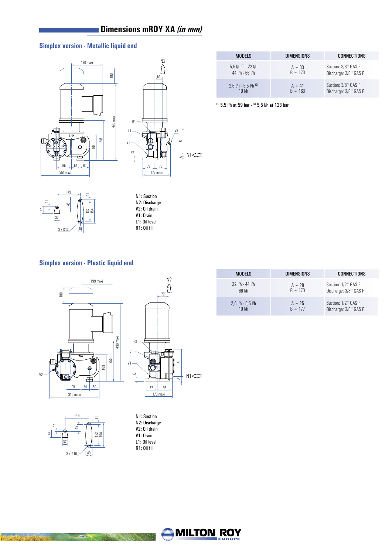# **Dimensions mROY XA** *(in mm)*

## **Simplex version - Metallic liquid end**





| <b>MODELS</b>                | <b>DIMENSIONS</b> | <b>CONNECTIONS</b>    |
|------------------------------|-------------------|-----------------------|
| $5.5$ I/h $^{(1)}$ - 22 I/h  | $A = 33$          | Suction: 3/8" GAS F   |
| 44 l/h - 66 l/h              | $B = 173$         | Discharge: 3/8" GAS F |
| $2,6$ l/h - 5,5 l/h $^{(2)}$ | $A = 41$          | Suction: 3/8" GAS F   |
| $10$ $I/h$                   | $B = 163$         | Discharge: 3/8" GAS F |

(1) 5,5 l/h at 59 bar - (2) 5,5 l/h at 123 bar



N1: Suction N2: Discharge V2: Oil drain V<sub>1</sub>: Drain L1: Oil level R1: Oil fill

#### **Simplex version - Plastic liquid end**





**Rusham Star** 

PARA

N1: Suction N2: Discharge V2: Oil drain V1: Drain L1: Oil level R1: Oil fill

| <b>MODELS</b>       | <b>DIMENSIONS</b> | CONNECTIONS           |
|---------------------|-------------------|-----------------------|
| 22 l/h - 44 l/h     | $A = 28$          | Suction: 1/2" GAS F   |
| $66$ $1/h$          | $B = 170$         | Discharge: 3/8" GAS F |
| $2,6$ I/h - 5,5 I/h | $A = 25$          | Suction: 1/2" GAS F   |
| $10$ $I/h$          | $B = 177$         | Discharge: 3/8" GAS F |